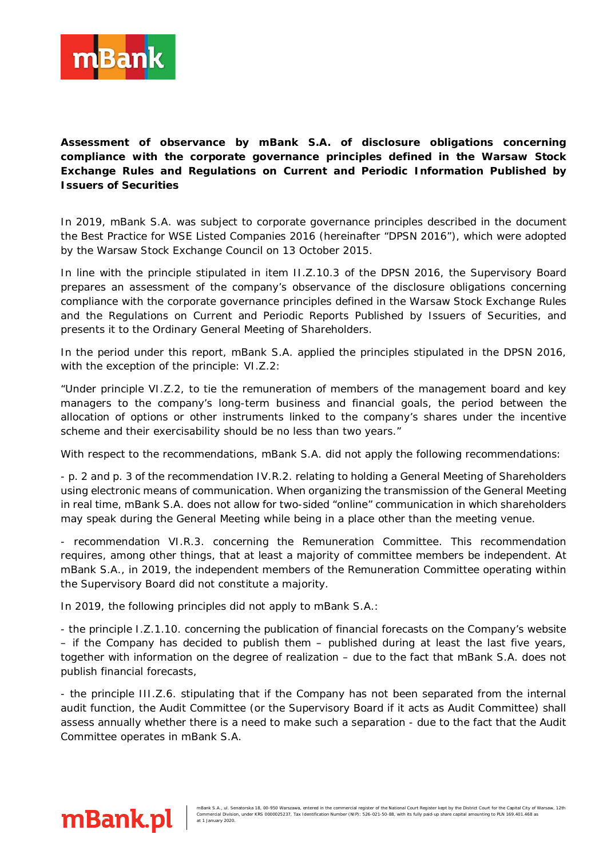

**Assessment of observance by mBank S.A. of disclosure obligations concerning compliance with the corporate governance principles defined in the Warsaw Stock Exchange Rules and Regulations on Current and Periodic Information Published by Issuers of Securities**

In 2019, mBank S.A. was subject to corporate governance principles described in the document the Best Practice for WSE Listed Companies 2016 (hereinafter "DPSN 2016"), which were adopted by the Warsaw Stock Exchange Council on 13 October 2015.

In line with the principle stipulated in item II.Z.10.3 of the DPSN 2016, the Supervisory Board prepares an assessment of the company's observance of the disclosure obligations concerning compliance with the corporate governance principles defined in the Warsaw Stock Exchange Rules and the Regulations on Current and Periodic Reports Published by Issuers of Securities, and presents it to the Ordinary General Meeting of Shareholders.

In the period under this report, mBank S.A. applied the principles stipulated in the DPSN 2016, with the exception of the principle: VI.Z.2:

"Under principle VI.Z.2, to tie the remuneration of members of the management board and key managers to the company's long-term business and financial goals, the period between the allocation of options or other instruments linked to the company's shares under the incentive scheme and their exercisability should be no less than two years."

With respect to the recommendations, mBank S.A. did not apply the following recommendations:

- p. 2 and p. 3 of the recommendation IV.R.2. relating to holding a General Meeting of Shareholders using electronic means of communication. When organizing the transmission of the General Meeting in real time, mBank S.A. does not allow for two-sided "online" communication in which shareholders may speak during the General Meeting while being in a place other than the meeting venue.

- recommendation VI.R.3. concerning the Remuneration Committee. This recommendation requires, among other things, that at least a majority of committee members be independent. At mBank S.A., in 2019, the independent members of the Remuneration Committee operating within the Supervisory Board did not constitute a majority.

In 2019, the following principles did not apply to mBank S.A.:

- the principle I.Z.1.10. concerning the publication of financial forecasts on the Company's website – if the Company has decided to publish them – published during at least the last five years, together with information on the degree of realization – due to the fact that mBank S.A. does not publish financial forecasts,

- the principle III.Z.6. stipulating that if the Company has not been separated from the internal audit function, the Audit Committee (or the Supervisory Board if it acts as Audit Committee) shall assess annually whether there is a need to make such a separation - due to the fact that the Audit Committee operates in mBank S.A.

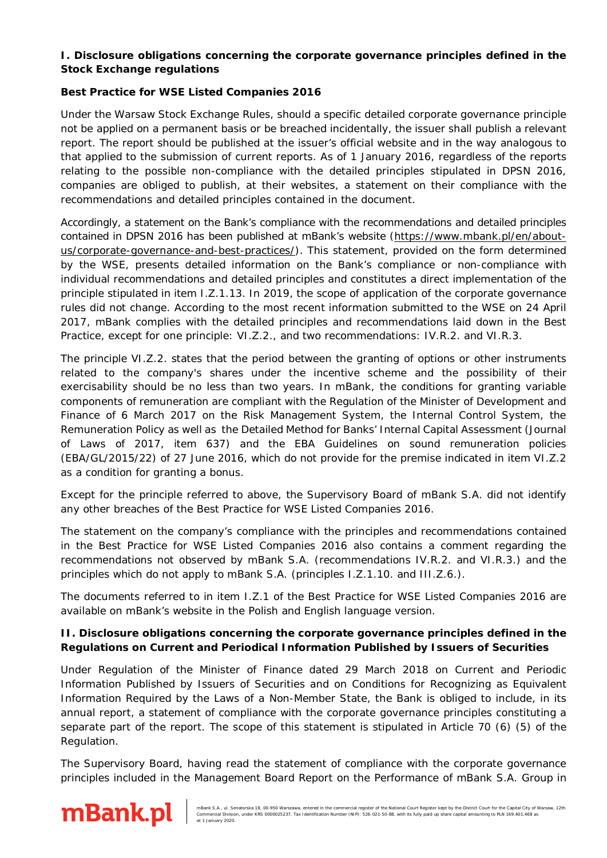## **I. Disclosure obligations concerning the corporate governance principles defined in the Stock Exchange regulations**

## **Best Practice for WSE Listed Companies 2016**

Under the Warsaw Stock Exchange Rules, should a specific detailed corporate governance principle not be applied on a permanent basis or be breached incidentally, the issuer shall publish a relevant report. The report should be published at the issuer's official website and in the way analogous to that applied to the submission of current reports. As of 1 January 2016, regardless of the reports relating to the possible non-compliance with the detailed principles stipulated in DPSN 2016, companies are obliged to publish, at their websites, a statement on their compliance with the recommendations and detailed principles contained in the document.

Accordingly, a statement on the Bank's compliance with the recommendations and detailed principles contained in DPSN 2016 has been published at mBank's website [\(https://www.mbank.pl/en/about](https://www.mbank.pl/en/about-us/corporate-governance-and-best-practices/)[us/corporate-governance-and-best-practices/\)](https://www.mbank.pl/en/about-us/corporate-governance-and-best-practices/). This statement, provided on the form determined by the WSE, presents detailed information on the Bank's compliance or non-compliance with individual recommendations and detailed principles and constitutes a direct implementation of the principle stipulated in item I.Z.1.13. In 2019, the scope of application of the corporate governance rules did not change. According to the most recent information submitted to the WSE on 24 April 2017, mBank complies with the detailed principles and recommendations laid down in the Best Practice, except for one principle: VI.Z.2., and two recommendations: IV.R.2. and VI.R.3.

The principle VI.Z.2. states that the period between the granting of options or other instruments related to the company's shares under the incentive scheme and the possibility of their exercisability should be no less than two years. In mBank, the conditions for granting variable components of remuneration are compliant with the Regulation of the Minister of Development and Finance of 6 March 2017 on the Risk Management System, the Internal Control System, the Remuneration Policy as well as the Detailed Method for Banks' Internal Capital Assessment (Journal of Laws of 2017, item 637) and the EBA Guidelines on sound remuneration policies (EBA/GL/2015/22) of 27 June 2016, which do not provide for the premise indicated in item VI.Z.2 as a condition for granting a bonus.

Except for the principle referred to above, the Supervisory Board of mBank S.A. did not identify any other breaches of the Best Practice for WSE Listed Companies 2016.

The statement on the company's compliance with the principles and recommendations contained in the Best Practice for WSE Listed Companies 2016 also contains a comment regarding the recommendations not observed by mBank S.A. (recommendations IV.R.2. and VI.R.3.) and the principles which do not apply to mBank S.A. (principles I.Z.1.10. and III.Z.6.).

The documents referred to in item I.Z.1 of the Best Practice for WSE Listed Companies 2016 are available on mBank's website in the Polish and English language version.

## **II. Disclosure obligations concerning the corporate governance principles defined in the Regulations on Current and Periodical Information Published by Issuers of Securities**

Under Regulation of the Minister of Finance dated 29 March 2018 on Current and Periodic Information Published by Issuers of Securities and on Conditions for Recognizing as Equivalent Information Required by the Laws of a Non-Member State, the Bank is obliged to include, in its annual report, a statement of compliance with the corporate governance principles constituting a separate part of the report. The scope of this statement is stipulated in Article 70 (6) (5) of the Regulation.

The Supervisory Board, having read the statement of compliance with the corporate governance principles included in the Management Board Report on the Performance of mBank S.A. Group in